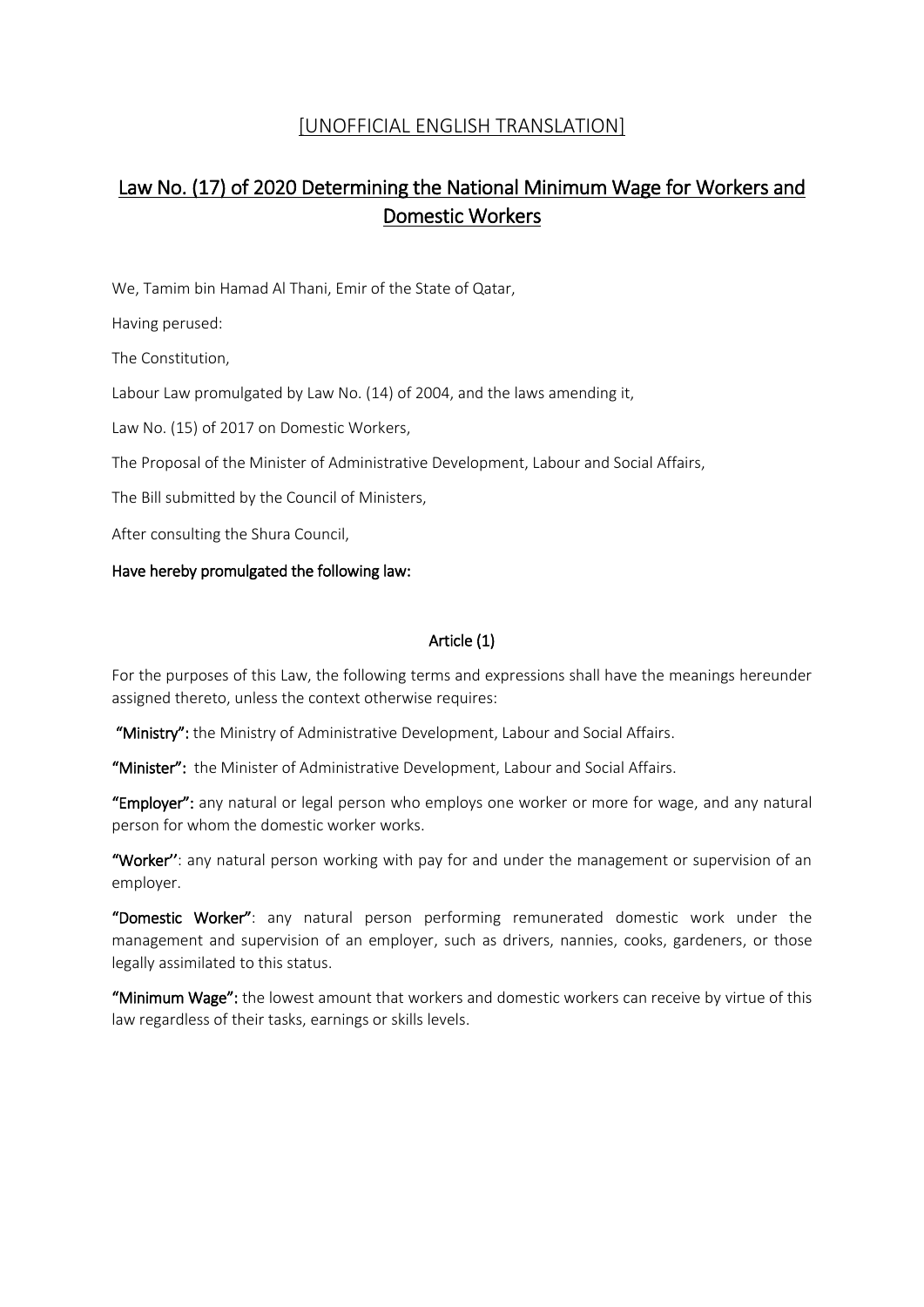## [UNOFFICIAL ENGLISH TRANSLATION]

# Law No. (17) of 2020 Determining the National Minimum Wage for Workers and Domestic Workers

We, Tamim bin Hamad Al Thani, Emir of the State of Qatar,

Having perused:

The Constitution,

Labour Law promulgated by Law No. (14) of 2004, and the laws amending it,

Law No. (15) of 2017 on Domestic Workers,

The Proposal of the Minister of Administrative Development, Labour and Social Affairs,

The Bill submitted by the Council of Ministers,

After consulting the Shura Council,

## Have hereby promulgated the following law:

## Article (1)

For the purposes of this Law, the following terms and expressions shall have the meanings hereunder assigned thereto, unless the context otherwise requires:

"Ministry": the Ministry of Administrative Development, Labour and Social Affairs.

"Minister": the Minister of Administrative Development, Labour and Social Affairs.

"Employer": any natural or legal person who employs one worker or more for wage, and any natural person for whom the domestic worker works.

"Worker": any natural person working with pay for and under the management or supervision of an employer.

"Domestic Worker": any natural person performing remunerated domestic work under the management and supervision of an employer, such as drivers, nannies, cooks, gardeners, or those legally assimilated to this status.

"Minimum Wage": the lowest amount that workers and domestic workers can receive by virtue of this law regardless of their tasks, earnings or skills levels.